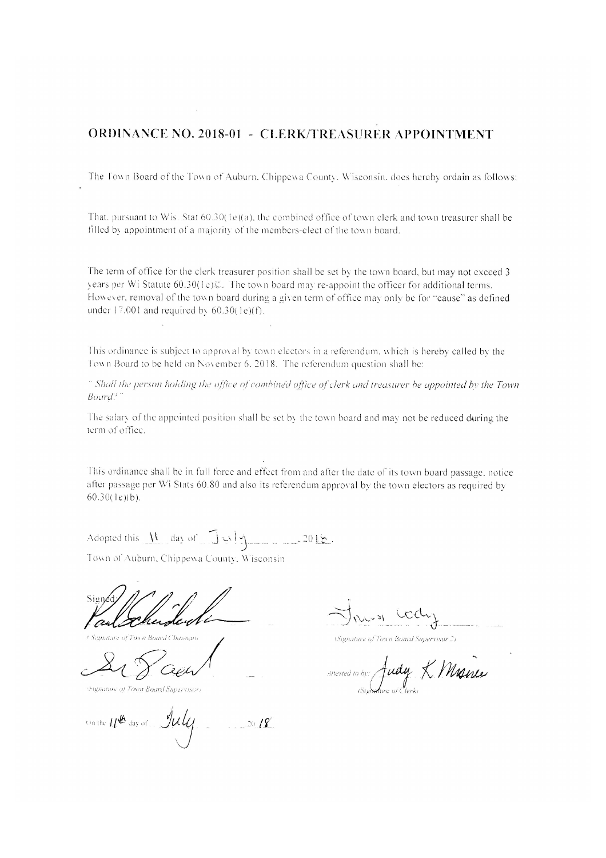## **ORDINANCE NO. 2018-01 - CLERK/TREASURER APPOINTMENT**

The Town Board of the Town of Auburn, Chippewa County, Wisconsin, does hereby ordain as follows:

That, pursuant to Wis. Stat 60.30(1e)(a), the combined office of town clerk and town treasurer shall be filled by appointment of a majority of the members-elect of the town board.

The term of office for the clerk treasurer position shall be set by the town board, but may not exceed 3 years per Wi Statute 60.30(1e)C. The town board may re-appoint the officer for additional terms. However, removal of the town board during a given term of office may only be for "cause" as defined under 17.001 and required by  $60.30(1e)(f)$ .

This ordinance is subject to approval by town electors in a referendum, which is hereby called by the Town Board to be held on November 6, 2018. The referendum question shall be:

" Shall the person holding the office of combined office of clerk and treasurer be appointed by the Town  $Board$ .

The salary of the appointed position shall be set by the town board and may not be reduced during the term of office.

This ordinance shall be in full force and effect from and after the date of its town board passage, notice after passage per Wi Stats 60.80 and also its referendum approval by the town electors as required by  $60.30(1e)(b)$ .

Adopted this  $\underline{N}$  day of  $\overline{J}$   $\vee$   $\underline{N}$ 

Town of Auburn, Chippewa County, Wisconsin

Signature of Town Board Supervisor

un the 11th day of July

(Signature of Town Board Supervisor 2)

Judy K Manie Attested to by: